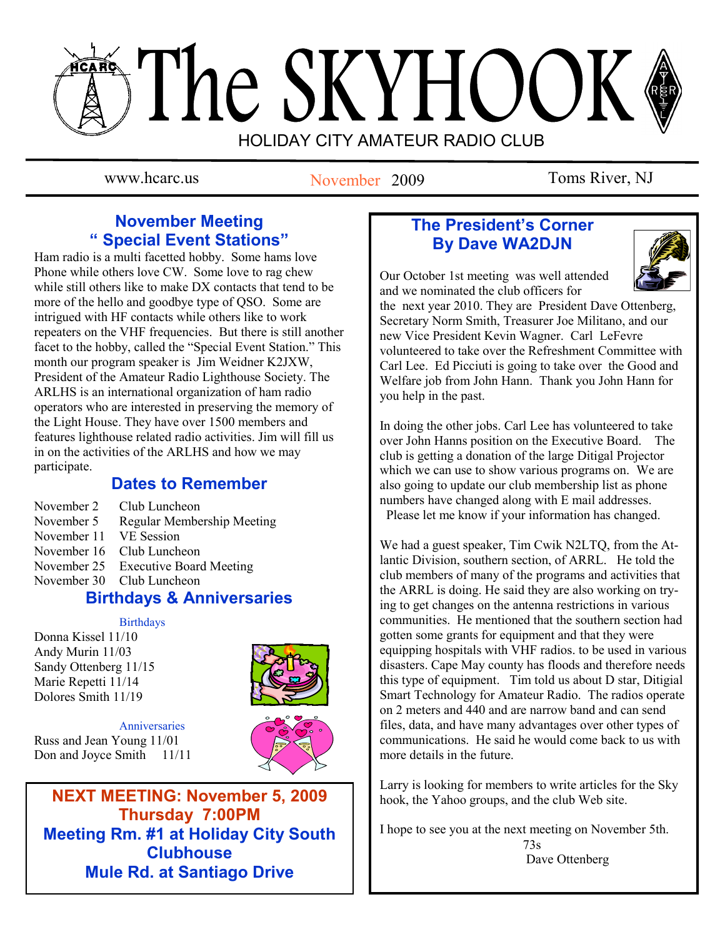# The SKYHOOK HOLIDAY CITY AMATEUR RADIO CLUB

November 2009

www.hcarc.us November 2009 Toms River, NJ

# **November Meeting " Special Event Stations"**

Ham radio is a multi facetted hobby. Some hams love Phone while others love CW. Some love to rag chew while still others like to make DX contacts that tend to be more of the hello and goodbye type of QSO. Some are intrigued with HF contacts while others like to work repeaters on the VHF frequencies. But there is still another facet to the hobby, called the "Special Event Station." This month our program speaker is Jim Weidner K2JXW, President of the Amateur Radio Lighthouse Society. The ARLHS is an international organization of ham radio operators who are interested in preserving the memory of the Light House. They have over 1500 members and features lighthouse related radio activities. Jim will fill us in on the activities of the ARLHS and how we may participate.

# **Dates to Remember**

- November 2 Club Luncheon<br>November 5 Regular Membe
- Regular Membership Meeting
- November 11 VE Session
- November 16 Club Luncheon
- November 25 Executive Board Meeting
- November 30 Club Luncheon

# **Birthdays & Anniversaries**

**Birthdays** 

Donna Kissel 11/10 Andy Murin 11/03 Sandy Ottenberg 11/15 Marie Repetti 11/14 Dolores Smith 11/19



**Anniversaries** Russ and Jean Young 11/01 Don and Joyce Smith 11/11



**NEXT MEETING: November 5, 2009 Thursday 7:00PM Meeting Rm. #1 at Holiday City South Clubhouse Mule Rd. at Santiago Drive**

# **The President's Corner By Dave WA2DJN**



Our October 1st meeting was well attended and we nominated the club officers for

the next year 2010. They are President Dave Ottenberg, Secretary Norm Smith, Treasurer Joe Militano, and our new Vice President Kevin Wagner. Carl LeFevre volunteered to take over the Refreshment Committee with Carl Lee. Ed Picciuti is going to take over the Good and Welfare job from John Hann. Thank you John Hann for you help in the past.

In doing the other jobs. Carl Lee has volunteered to take over John Hanns position on the Executive Board. The club is getting a donation of the large Ditigal Projector which we can use to show various programs on. We are also going to update our club membership list as phone numbers have changed along with E mail addresses.

Please let me know if your information has changed.

We had a guest speaker, Tim Cwik N2LTQ, from the Atlantic Division, southern section, of ARRL. He told the club members of many of the programs and activities that the ARRL is doing. He said they are also working on trying to get changes on the antenna restrictions in various communities. He mentioned that the southern section had gotten some grants for equipment and that they were equipping hospitals with VHF radios. to be used in various disasters. Cape May county has floods and therefore needs this type of equipment. Tim told us about D star, Ditigial Smart Technology for Amateur Radio. The radios operate on 2 meters and 440 and are narrow band and can send files, data, and have many advantages over other types of communications. He said he would come back to us with more details in the future.

Larry is looking for members to write articles for the Sky hook, the Yahoo groups, and the club Web site.

I hope to see you at the next meeting on November 5th. 73s Dave Ottenberg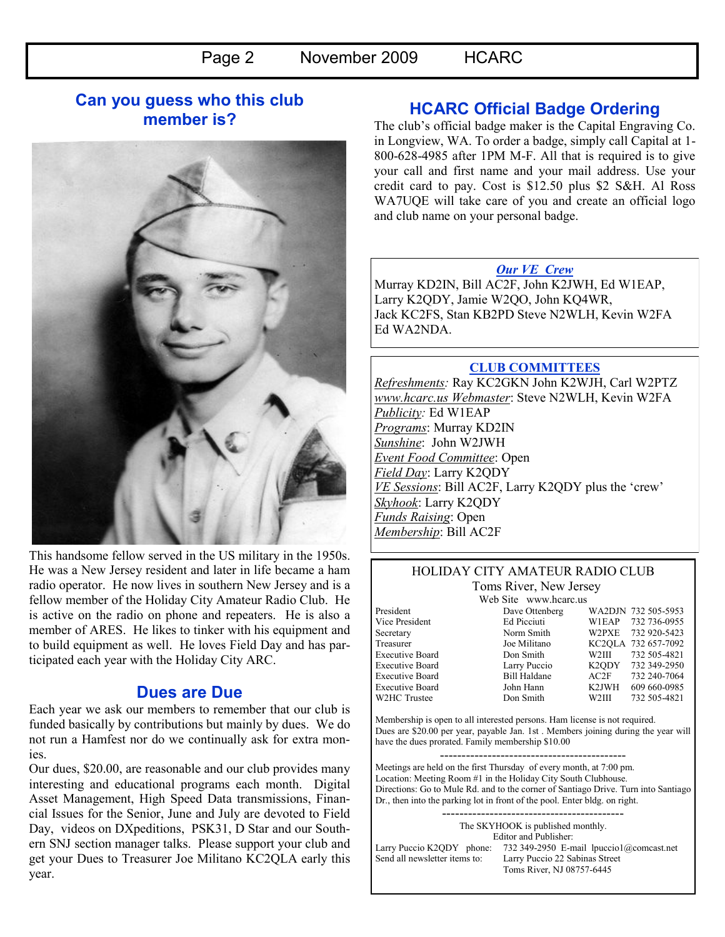## **Can you guess who this club member is?**



This handsome fellow served in the US military in the 1950s. He was a New Jersey resident and later in life became a ham radio operator. He now lives in southern New Jersey and is a fellow member of the Holiday City Amateur Radio Club. He is active on the radio on phone and repeaters. He is also a member of ARES. He likes to tinker with his equipment and to build equipment as well. He loves Field Day and has participated each year with the Holiday City ARC.

## **Dues are Due**

Each year we ask our members to remember that our club is funded basically by contributions but mainly by dues. We do not run a Hamfest nor do we continually ask for extra monies.

Our dues, \$20.00, are reasonable and our club provides many interesting and educational programs each month. Digital Asset Management, High Speed Data transmissions, Financial Issues for the Senior, June and July are devoted to Field Day, videos on DXpeditions, PSK31, D Star and our Southern SNJ section manager talks. Please support your club and get your Dues to Treasurer Joe Militano KC2QLA early this year.

## **HCARC Official Badge Ordering**

The club"s official badge maker is the Capital Engraving Co. in Longview, WA. To order a badge, simply call Capital at 1- 800-628-4985 after 1PM M-F. All that is required is to give your call and first name and your mail address. Use your credit card to pay. Cost is \$12.50 plus \$2 S&H. Al Ross WA7UQE will take care of you and create an official logo and club name on your personal badge.

#### *Our VE Crew*

Murray KD2IN, Bill AC2F, John K2JWH, Ed W1EAP, Larry K2QDY, Jamie W2QO, John KQ4WR, Jack KC2FS, Stan KB2PD Steve N2WLH, Kevin W2FA Ed WA2NDA.

#### **CLUB COMMITTEES**

*Refreshments:* Ray KC2GKN John K2WJH, Carl W2PTZ *www.hcarc.us Webmaster*: Steve N2WLH, Kevin W2FA *Publicity:* Ed W1EAP *Programs*: Murray KD2IN *Sunshine*: John W2JWH *Event Food Committee*: Open *Field Day*: Larry K2QDY *VE Sessions*: Bill AC2F, Larry K2QDY plus the 'crew' *Skyhook*: Larry K2QDY *Funds Raising*: Open *Membership*: Bill AC2F

#### HOLIDAY CITY AMATEUR RADIO CLUB Toms River, New Jersey

W2HC Trustee Don Smith

Web Site www.hcarc.us<br>Dave Ottenberg President Dave Ottenberg WA2DJN 732 505-5953 Vice President Ed Picciuti W1EAP 732 736-0955 Secretary Norm Smith W2PXE 732 920-5423 Treasurer Joe Militano KC2QLA 732 657-7092 Executive Board Don Smith W2III 732 505-4821 Executive Board Larry Puccio K2QDY 732 349-2950 Executive Board Bill Haldane AC2F 732 240-7064 Executive Board John Hann K2JWH 609 660-0985<br>W2HC Trustee Don Smith W2III 732 505-4821

Membership is open to all interested persons. Ham license is not required. Dues are \$20.00 per year, payable Jan. 1st . Members joining during the year will have the dues prorated. Family membership \$10.00

------------------------------------------- Meetings are held on the first Thursday of every month, at 7:00 pm. Location: Meeting Room #1 in the Holiday City South Clubhouse. Directions: Go to Mule Rd. and to the corner of Santiago Drive. Turn into Santiago Dr., then into the parking lot in front of the pool. Enter bldg. on right.

------------------------------------------ The SKYHOOK is published monthly. Editor and Publisher: Larry Puccio K2QDY phone: 732 349-2950 E-mail lpuccio1@comcast.net<br>Send all newsletter items to: Larry Puccio 22 Sabinas Street Larry Puccio 22 Sabinas Street Toms River, NJ 08757-6445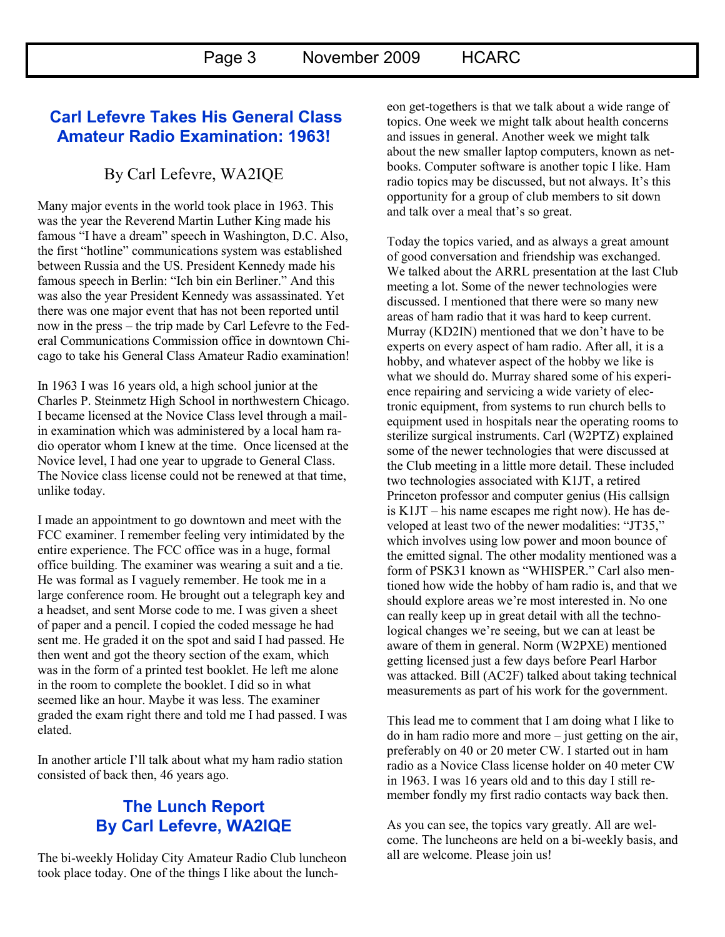## **Carl Lefevre Takes His General Class Amateur Radio Examination: 1963!**

# By Carl Lefevre, WA2IQE

Many major events in the world took place in 1963. This was the year the Reverend Martin Luther King made his famous "I have a dream" speech in Washington, D.C. Also, the first "hotline" communications system was established between Russia and the US. President Kennedy made his famous speech in Berlin: "Ich bin ein Berliner." And this was also the year President Kennedy was assassinated. Yet there was one major event that has not been reported until now in the press – the trip made by Carl Lefevre to the Federal Communications Commission office in downtown Chicago to take his General Class Amateur Radio examination!

In 1963 I was 16 years old, a high school junior at the Charles P. Steinmetz High School in northwestern Chicago. I became licensed at the Novice Class level through a mailin examination which was administered by a local ham radio operator whom I knew at the time. Once licensed at the Novice level, I had one year to upgrade to General Class. The Novice class license could not be renewed at that time, unlike today.

I made an appointment to go downtown and meet with the FCC examiner. I remember feeling very intimidated by the entire experience. The FCC office was in a huge, formal office building. The examiner was wearing a suit and a tie. He was formal as I vaguely remember. He took me in a large conference room. He brought out a telegraph key and a headset, and sent Morse code to me. I was given a sheet of paper and a pencil. I copied the coded message he had sent me. He graded it on the spot and said I had passed. He then went and got the theory section of the exam, which was in the form of a printed test booklet. He left me alone in the room to complete the booklet. I did so in what seemed like an hour. Maybe it was less. The examiner graded the exam right there and told me I had passed. I was elated.

In another article I"ll talk about what my ham radio station consisted of back then, 46 years ago.

## **The Lunch Report By Carl Lefevre, WA2IQE**

The bi-weekly Holiday City Amateur Radio Club luncheon took place today. One of the things I like about the luncheon get-togethers is that we talk about a wide range of topics. One week we might talk about health concerns and issues in general. Another week we might talk about the new smaller laptop computers, known as netbooks. Computer software is another topic I like. Ham radio topics may be discussed, but not always. It's this opportunity for a group of club members to sit down and talk over a meal that"s so great.

Today the topics varied, and as always a great amount of good conversation and friendship was exchanged. We talked about the ARRL presentation at the last Club meeting a lot. Some of the newer technologies were discussed. I mentioned that there were so many new areas of ham radio that it was hard to keep current. Murray (KD2IN) mentioned that we don"t have to be experts on every aspect of ham radio. After all, it is a hobby, and whatever aspect of the hobby we like is what we should do. Murray shared some of his experience repairing and servicing a wide variety of electronic equipment, from systems to run church bells to equipment used in hospitals near the operating rooms to sterilize surgical instruments. Carl (W2PTZ) explained some of the newer technologies that were discussed at the Club meeting in a little more detail. These included two technologies associated with K1JT, a retired Princeton professor and computer genius (His callsign is K1JT – his name escapes me right now). He has developed at least two of the newer modalities: "JT35," which involves using low power and moon bounce of the emitted signal. The other modality mentioned was a form of PSK31 known as "WHISPER." Carl also mentioned how wide the hobby of ham radio is, and that we should explore areas we"re most interested in. No one can really keep up in great detail with all the technological changes we"re seeing, but we can at least be aware of them in general. Norm (W2PXE) mentioned getting licensed just a few days before Pearl Harbor was attacked. Bill (AC2F) talked about taking technical measurements as part of his work for the government.

This lead me to comment that I am doing what I like to do in ham radio more and more – just getting on the air, preferably on 40 or 20 meter CW. I started out in ham radio as a Novice Class license holder on 40 meter CW in 1963. I was 16 years old and to this day I still remember fondly my first radio contacts way back then.

As you can see, the topics vary greatly. All are welcome. The luncheons are held on a bi-weekly basis, and all are welcome. Please join us!